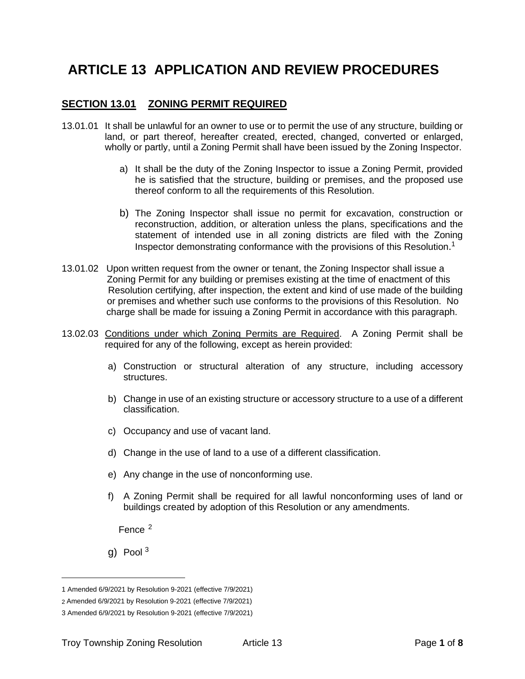# **ARTICLE 13 APPLICATION AND REVIEW PROCEDURES**

## **SECTION 13.01 ZONING PERMIT REQUIRED**

- 13.01.01 It shall be unlawful for an owner to use or to permit the use of any structure, building or land, or part thereof, hereafter created, erected, changed, converted or enlarged, wholly or partly, until a Zoning Permit shall have been issued by the Zoning Inspector.
	- a) It shall be the duty of the Zoning Inspector to issue a Zoning Permit, provided he is satisfied that the structure, building or premises, and the proposed use thereof conform to all the requirements of this Resolution.
	- b) The Zoning Inspector shall issue no permit for excavation, construction or reconstruction, addition, or alteration unless the plans, specifications and the statement of intended use in all zoning districts are filed with the Zoning Inspector demonstrating conformance with the provisions of this Resolution.<sup>1</sup>
- 13.01.02 Upon written request from the owner or tenant, the Zoning Inspector shall issue a Zoning Permit for any building or premises existing at the time of enactment of this Resolution certifying, after inspection, the extent and kind of use made of the building or premises and whether such use conforms to the provisions of this Resolution. No charge shall be made for issuing a Zoning Permit in accordance with this paragraph.
- 13.02.03 Conditions under which Zoning Permits are Required. A Zoning Permit shall be required for any of the following, except as herein provided:
	- a) Construction or structural alteration of any structure, including accessory structures.
	- b) Change in use of an existing structure or accessory structure to a use of a different classification.
	- c) Occupancy and use of vacant land.
	- d) Change in the use of land to a use of a different classification.
	- e) Any change in the use of nonconforming use.
	- f) A Zoning Permit shall be required for all lawful nonconforming uses of land or buildings created by adoption of this Resolution or any amendments.

Fence <sup>2</sup>

g) Pool  $3$ 

<sup>1</sup> Amended 6/9/2021 by Resolution 9-2021 (effective 7/9/2021)

<sup>2</sup> Amended 6/9/2021 by Resolution 9-2021 (effective 7/9/2021)

<sup>3</sup> Amended 6/9/2021 by Resolution 9-2021 (effective 7/9/2021)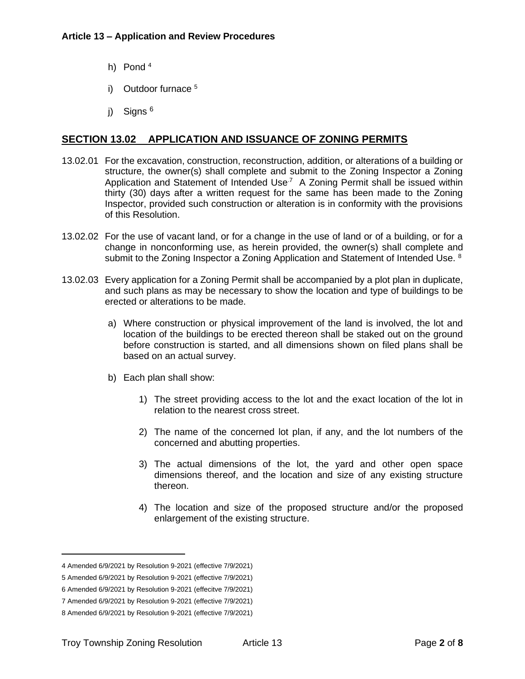- h) Pond <sup>4</sup>
- i) Outdoor furnace <sup>5</sup>
- j) Signs <sup>6</sup>

## **SECTION 13.02 APPLICATION AND ISSUANCE OF ZONING PERMITS**

- 13.02.01 For the excavation, construction, reconstruction, addition, or alterations of a building or structure, the owner(s) shall complete and submit to the Zoning Inspector a Zoning Application and Statement of Intended Use<sup>7</sup> A Zoning Permit shall be issued within thirty (30) days after a written request for the same has been made to the Zoning Inspector, provided such construction or alteration is in conformity with the provisions of this Resolution.
- 13.02.02 For the use of vacant land, or for a change in the use of land or of a building, or for a change in nonconforming use, as herein provided, the owner(s) shall complete and submit to the Zoning Inspector a Zoning Application and Statement of Intended Use. 8
- 13.02.03 Every application for a Zoning Permit shall be accompanied by a plot plan in duplicate, and such plans as may be necessary to show the location and type of buildings to be erected or alterations to be made.
	- a) Where construction or physical improvement of the land is involved, the lot and location of the buildings to be erected thereon shall be staked out on the ground before construction is started, and all dimensions shown on filed plans shall be based on an actual survey.
	- b) Each plan shall show:
		- 1) The street providing access to the lot and the exact location of the lot in relation to the nearest cross street.
		- 2) The name of the concerned lot plan, if any, and the lot numbers of the concerned and abutting properties.
		- 3) The actual dimensions of the lot, the yard and other open space dimensions thereof, and the location and size of any existing structure thereon.
		- 4) The location and size of the proposed structure and/or the proposed enlargement of the existing structure.

<sup>4</sup> Amended 6/9/2021 by Resolution 9-2021 (effective 7/9/2021)

<sup>5</sup> Amended 6/9/2021 by Resolution 9-2021 (effective 7/9/2021)

<sup>6</sup> Amended 6/9/2021 by Resolution 9-2021 (effecitve 7/9/2021)

<sup>7</sup> Amended 6/9/2021 by Resolution 9-2021 (effective 7/9/2021)

<sup>8</sup> Amended 6/9/2021 by Resolution 9-2021 (effective 7/9/2021)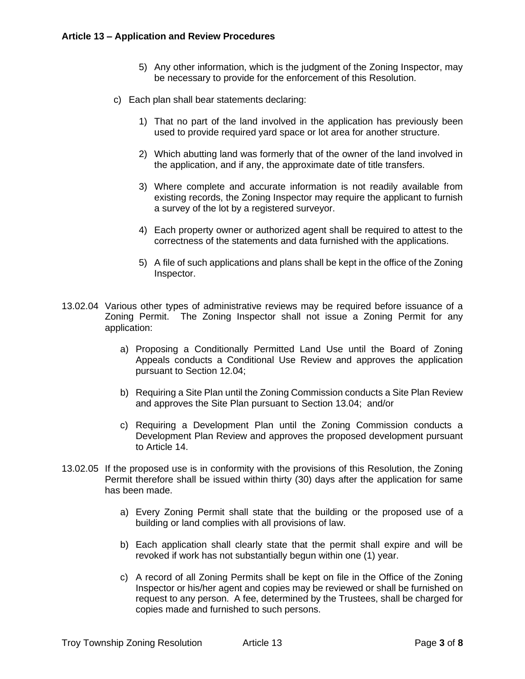- 5) Any other information, which is the judgment of the Zoning Inspector, may be necessary to provide for the enforcement of this Resolution.
- c) Each plan shall bear statements declaring:
	- 1) That no part of the land involved in the application has previously been used to provide required yard space or lot area for another structure.
	- 2) Which abutting land was formerly that of the owner of the land involved in the application, and if any, the approximate date of title transfers.
	- 3) Where complete and accurate information is not readily available from existing records, the Zoning Inspector may require the applicant to furnish a survey of the lot by a registered surveyor.
	- 4) Each property owner or authorized agent shall be required to attest to the correctness of the statements and data furnished with the applications.
	- 5) A file of such applications and plans shall be kept in the office of the Zoning Inspector.
- 13.02.04 Various other types of administrative reviews may be required before issuance of a Zoning Permit. The Zoning Inspector shall not issue a Zoning Permit for any application:
	- a) Proposing a Conditionally Permitted Land Use until the Board of Zoning Appeals conducts a Conditional Use Review and approves the application pursuant to Section 12.04;
	- b) Requiring a Site Plan until the Zoning Commission conducts a Site Plan Review and approves the Site Plan pursuant to [Section 13.04;](#page-3-0) and/or
	- c) Requiring a Development Plan until the Zoning Commission conducts a Development Plan Review and approves the proposed development pursuant to Article 14.
- 13.02.05 If the proposed use is in conformity with the provisions of this Resolution, the Zoning Permit therefore shall be issued within thirty (30) days after the application for same has been made.
	- a) Every Zoning Permit shall state that the building or the proposed use of a building or land complies with all provisions of law.
	- b) Each application shall clearly state that the permit shall expire and will be revoked if work has not substantially begun within one (1) year.
	- c) A record of all Zoning Permits shall be kept on file in the Office of the Zoning Inspector or his/her agent and copies may be reviewed or shall be furnished on request to any person. A fee, determined by the Trustees, shall be charged for copies made and furnished to such persons.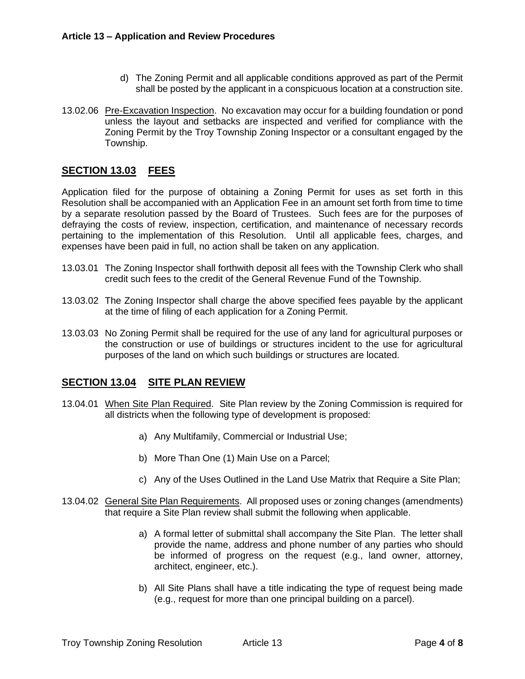- d) The Zoning Permit and all applicable conditions approved as part of the Permit shall be posted by the applicant in a conspicuous location at a construction site.
- 13.02.06 Pre-Excavation Inspection. No excavation may occur for a building foundation or pond unless the layout and setbacks are inspected and verified for compliance with the Zoning Permit by the Troy Township Zoning Inspector or a consultant engaged by the Township.

# **SECTION 13.03 FEES**

Application filed for the purpose of obtaining a Zoning Permit for uses as set forth in this Resolution shall be accompanied with an Application Fee in an amount set forth from time to time by a separate resolution passed by the Board of Trustees. Such fees are for the purposes of defraying the costs of review, inspection, certification, and maintenance of necessary records pertaining to the implementation of this Resolution. Until all applicable fees, charges, and expenses have been paid in full, no action shall be taken on any application.

- 13.03.01 The Zoning Inspector shall forthwith deposit all fees with the Township Clerk who shall credit such fees to the credit of the General Revenue Fund of the Township.
- 13.03.02 The Zoning Inspector shall charge the above specified fees payable by the applicant at the time of filing of each application for a Zoning Permit.
- 13.03.03 No Zoning Permit shall be required for the use of any land for agricultural purposes or the construction or use of buildings or structures incident to the use for agricultural purposes of the land on which such buildings or structures are located.

#### <span id="page-3-0"></span>**SECTION 13.04 SITE PLAN REVIEW**

- 13.04.01 When Site Plan Required. Site Plan review by the Zoning Commission is required for all districts when the following type of development is proposed:
	- a) Any Multifamily, Commercial or Industrial Use;
	- b) More Than One (1) Main Use on a Parcel;
	- c) Any of the Uses Outlined in the Land Use Matrix that Require a Site Plan;
- 13.04.02 General Site Plan Requirements. All proposed uses or zoning changes (amendments) that require a Site Plan review shall submit the following when applicable.
	- a) A formal letter of submittal shall accompany the Site Plan. The letter shall provide the name, address and phone number of any parties who should be informed of progress on the request (e.g., land owner, attorney, architect, engineer, etc.).
	- b) All Site Plans shall have a title indicating the type of request being made (e.g., request for more than one principal building on a parcel).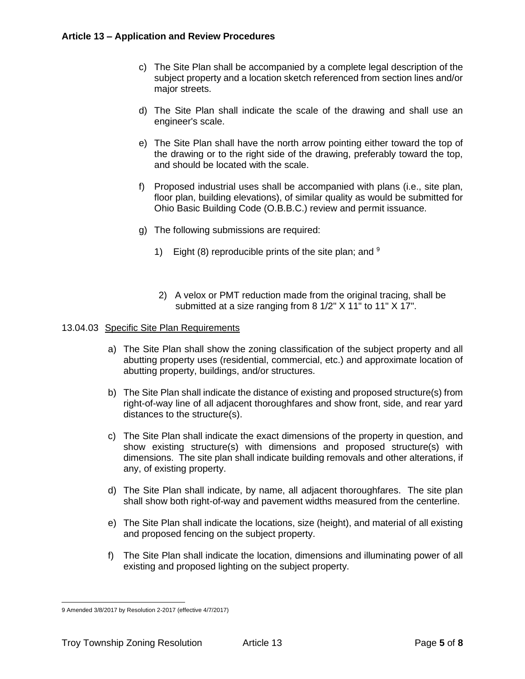- c) The Site Plan shall be accompanied by a complete legal description of the subject property and a location sketch referenced from section lines and/or major streets.
- d) The Site Plan shall indicate the scale of the drawing and shall use an engineer's scale.
- e) The Site Plan shall have the north arrow pointing either toward the top of the drawing or to the right side of the drawing, preferably toward the top, and should be located with the scale.
- f) Proposed industrial uses shall be accompanied with plans (i.e., site plan, floor plan, building elevations), of similar quality as would be submitted for Ohio Basic Building Code (O.B.B.C.) review and permit issuance.
- g) The following submissions are required:
	- 1) Eight (8) reproducible prints of the site plan; and  $9$
	- 2) A velox or PMT reduction made from the original tracing, shall be submitted at a size ranging from 8 1/2" X 11" to 11" X 17".

#### 13.04.03 Specific Site Plan Requirements

- a) The Site Plan shall show the zoning classification of the subject property and all abutting property uses (residential, commercial, etc.) and approximate location of abutting property, buildings, and/or structures.
- b) The Site Plan shall indicate the distance of existing and proposed structure(s) from right-of-way line of all adjacent thoroughfares and show front, side, and rear yard distances to the structure(s).
- c) The Site Plan shall indicate the exact dimensions of the property in question, and show existing structure(s) with dimensions and proposed structure(s) with dimensions. The site plan shall indicate building removals and other alterations, if any, of existing property.
- d) The Site Plan shall indicate, by name, all adjacent thoroughfares. The site plan shall show both right-of-way and pavement widths measured from the centerline.
- e) The Site Plan shall indicate the locations, size (height), and material of all existing and proposed fencing on the subject property.
- f) The Site Plan shall indicate the location, dimensions and illuminating power of all existing and proposed lighting on the subject property.

<sup>9</sup> Amended 3/8/2017 by Resolution 2-2017 (effective 4/7/2017)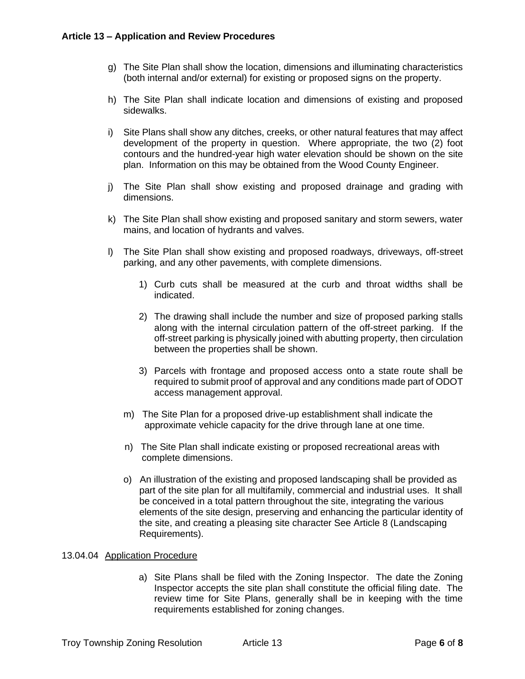- g) The Site Plan shall show the location, dimensions and illuminating characteristics (both internal and/or external) for existing or proposed signs on the property.
- h) The Site Plan shall indicate location and dimensions of existing and proposed sidewalks.
- i) Site Plans shall show any ditches, creeks, or other natural features that may affect development of the property in question. Where appropriate, the two (2) foot contours and the hundred-year high water elevation should be shown on the site plan. Information on this may be obtained from the Wood County Engineer.
- j) The Site Plan shall show existing and proposed drainage and grading with dimensions.
- k) The Site Plan shall show existing and proposed sanitary and storm sewers, water mains, and location of hydrants and valves.
- l) The Site Plan shall show existing and proposed roadways, driveways, off-street parking, and any other pavements, with complete dimensions.
	- 1) Curb cuts shall be measured at the curb and throat widths shall be indicated.
	- 2) The drawing shall include the number and size of proposed parking stalls along with the internal circulation pattern of the off-street parking. If the off-street parking is physically joined with abutting property, then circulation between the properties shall be shown.
	- 3) Parcels with frontage and proposed access onto a state route shall be required to submit proof of approval and any conditions made part of ODOT access management approval.
	- m) The Site Plan for a proposed drive-up establishment shall indicate the approximate vehicle capacity for the drive through lane at one time.
	- n) The Site Plan shall indicate existing or proposed recreational areas with complete dimensions.
	- o) An illustration of the existing and proposed landscaping shall be provided as part of the site plan for all multifamily, commercial and industrial uses. It shall be conceived in a total pattern throughout the site, integrating the various elements of the site design, preserving and enhancing the particular identity of the site, and creating a pleasing site character See Article 8 (Landscaping Requirements).

#### 13.04.04 Application Procedure

a) Site Plans shall be filed with the Zoning Inspector. The date the Zoning Inspector accepts the site plan shall constitute the official filing date. The review time for Site Plans, generally shall be in keeping with the time requirements established for zoning changes.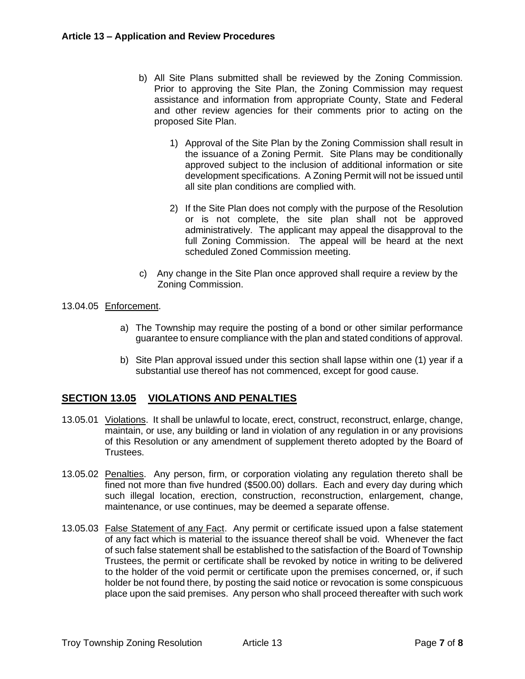- b) All Site Plans submitted shall be reviewed by the Zoning Commission. Prior to approving the Site Plan, the Zoning Commission may request assistance and information from appropriate County, State and Federal and other review agencies for their comments prior to acting on the proposed Site Plan.
	- 1) Approval of the Site Plan by the Zoning Commission shall result in the issuance of a Zoning Permit. Site Plans may be conditionally approved subject to the inclusion of additional information or site development specifications. A Zoning Permit will not be issued until all site plan conditions are complied with.
	- 2) If the Site Plan does not comply with the purpose of the Resolution or is not complete, the site plan shall not be approved administratively. The applicant may appeal the disapproval to the full Zoning Commission. The appeal will be heard at the next scheduled Zoned Commission meeting.
- c) Any change in the Site Plan once approved shall require a review by the Zoning Commission.
- 13.04.05 Enforcement.
	- a) The Township may require the posting of a bond or other similar performance guarantee to ensure compliance with the plan and stated conditions of approval.
	- b) Site Plan approval issued under this section shall lapse within one (1) year if a substantial use thereof has not commenced, except for good cause.

# **SECTION 13.05 VIOLATIONS AND PENALTIES**

- 13.05.01 Violations. It shall be unlawful to locate, erect, construct, reconstruct, enlarge, change, maintain, or use, any building or land in violation of any regulation in or any provisions of this Resolution or any amendment of supplement thereto adopted by the Board of Trustees.
- 13.05.02 Penalties. Any person, firm, or corporation violating any regulation thereto shall be fined not more than five hundred (\$500.00) dollars. Each and every day during which such illegal location, erection, construction, reconstruction, enlargement, change, maintenance, or use continues, may be deemed a separate offense.
- 13.05.03 False Statement of any Fact. Any permit or certificate issued upon a false statement of any fact which is material to the issuance thereof shall be void. Whenever the fact of such false statement shall be established to the satisfaction of the Board of Township Trustees, the permit or certificate shall be revoked by notice in writing to be delivered to the holder of the void permit or certificate upon the premises concerned, or, if such holder be not found there, by posting the said notice or revocation is some conspicuous place upon the said premises. Any person who shall proceed thereafter with such work